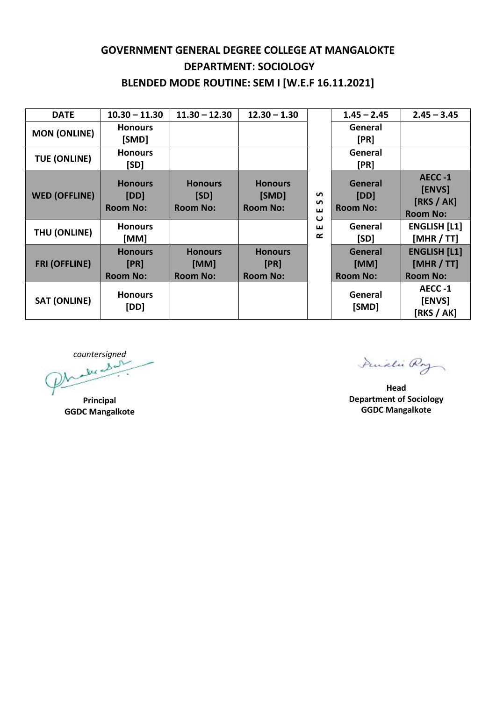## **GOVERNMENT GENERAL DEGREE COLLEGE AT MANGALOKTE DEPARTMENT: SOCIOLOGY BLENDED MODE ROUTINE: SEM I [W.E.F 16.11.2021]**

| <b>DATE</b>          | $10.30 - 11.30$                           | $11.30 - 12.30$                           | $12.30 - 1.30$                             | $\mathbf{v}$<br>$\mathbf{v}$<br>ш<br>$\mathbf\omega$<br>ш<br>œ | $1.45 - 2.45$                             | $2.45 - 3.45$                                        |
|----------------------|-------------------------------------------|-------------------------------------------|--------------------------------------------|----------------------------------------------------------------|-------------------------------------------|------------------------------------------------------|
| <b>MON (ONLINE)</b>  | <b>Honours</b><br>[SMD]                   |                                           |                                            |                                                                | General<br>[PR]                           |                                                      |
| <b>TUE (ONLINE)</b>  | <b>Honours</b><br>[SD]                    |                                           |                                            |                                                                | General<br>[PR]                           |                                                      |
| <b>WED (OFFLINE)</b> | <b>Honours</b><br>[DD]<br><b>Room No:</b> | <b>Honours</b><br>[SD]<br><b>Room No:</b> | <b>Honours</b><br>[SMD]<br><b>Room No:</b> |                                                                | <b>General</b><br>[DD]<br><b>Room No:</b> | AECC-1<br>[ENVS]<br>[RKS / AK]<br><b>Room No:</b>    |
| THU (ONLINE)         | <b>Honours</b><br>[MM]                    |                                           |                                            |                                                                | General<br>[SD]                           | <b>ENGLISH [L1]</b><br>[MHR / TT]                    |
| <b>FRI (OFFLINE)</b> | <b>Honours</b><br>[PR]<br><b>Room No:</b> | <b>Honours</b><br>[MM]<br><b>Room No:</b> | <b>Honours</b><br>[PR]<br><b>Room No:</b>  |                                                                | General<br>[MM]<br><b>Room No:</b>        | <b>ENGLISH [L1]</b><br>[MHR / TT]<br><b>Room No:</b> |
| <b>SAT (ONLINE)</b>  | <b>Honours</b><br>[DD]                    |                                           |                                            |                                                                | General<br>[SMD]                          | AECC-1<br>[ENVS]<br>[RKS / AK]                       |

*countersigned*

**Principal GGDC Mangalkote**

Dividi Roy

**Head Department of Sociology GGDC Mangalkote**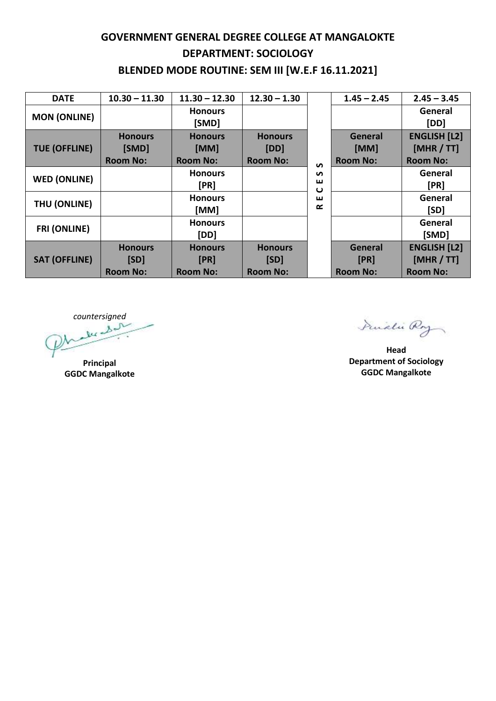## **GOVERNMENT GENERAL DEGREE COLLEGE AT MANGALOKTE DEPARTMENT: SOCIOLOGY BLENDED MODE ROUTINE: SEM III [W.E.F 16.11.2021]**

| <b>DATE</b>          | $10.30 - 11.30$ | $11.30 - 12.30$         | $12.30 - 1.30$  |                  | $1.45 - 2.45$   | $2.45 - 3.45$       |
|----------------------|-----------------|-------------------------|-----------------|------------------|-----------------|---------------------|
| <b>MON (ONLINE)</b>  |                 | <b>Honours</b><br>[SMD] |                 | $\mathbf{v}$     |                 | General<br>[DD]     |
| <b>TUE (OFFLINE)</b> | <b>Honours</b>  | <b>Honours</b>          | <b>Honours</b>  |                  | General         | <b>ENGLISH [L2]</b> |
|                      | [SMD]           | [MM]                    | [DD]            |                  | [MM]            | [MHR / TT]          |
|                      | <b>Room No:</b> | <b>Room No:</b>         | <b>Room No:</b> |                  | <b>Room No:</b> | <b>Room No:</b>     |
| <b>WED (ONLINE)</b>  |                 | <b>Honours</b>          |                 | S                |                 | General             |
|                      |                 | [PR]                    |                 | ш<br>ပ<br>ш<br>œ |                 | [PR]                |
| THU (ONLINE)         |                 | <b>Honours</b>          |                 |                  |                 | General             |
|                      |                 | [MM]                    |                 |                  |                 | [SD]                |
| <b>FRI (ONLINE)</b>  |                 | <b>Honours</b>          |                 |                  |                 | General             |
|                      |                 | [DD]                    |                 |                  |                 | [SMD]               |
| <b>SAT (OFFLINE)</b> | <b>Honours</b>  | <b>Honours</b>          | <b>Honours</b>  |                  | <b>General</b>  | <b>ENGLISH [L2]</b> |
|                      | [SD]            | [PR]                    | [SD]            |                  | [PR]            | [MHR / TT]          |
|                      | <b>Room No:</b> | <b>Room No:</b>         | <b>Room No:</b> |                  | <b>Room No:</b> | <b>Room No:</b>     |

*countersigned*

**Principal GGDC Mangalkote**

Prudli Roy

**Head Department of Sociology GGDC Mangalkote**